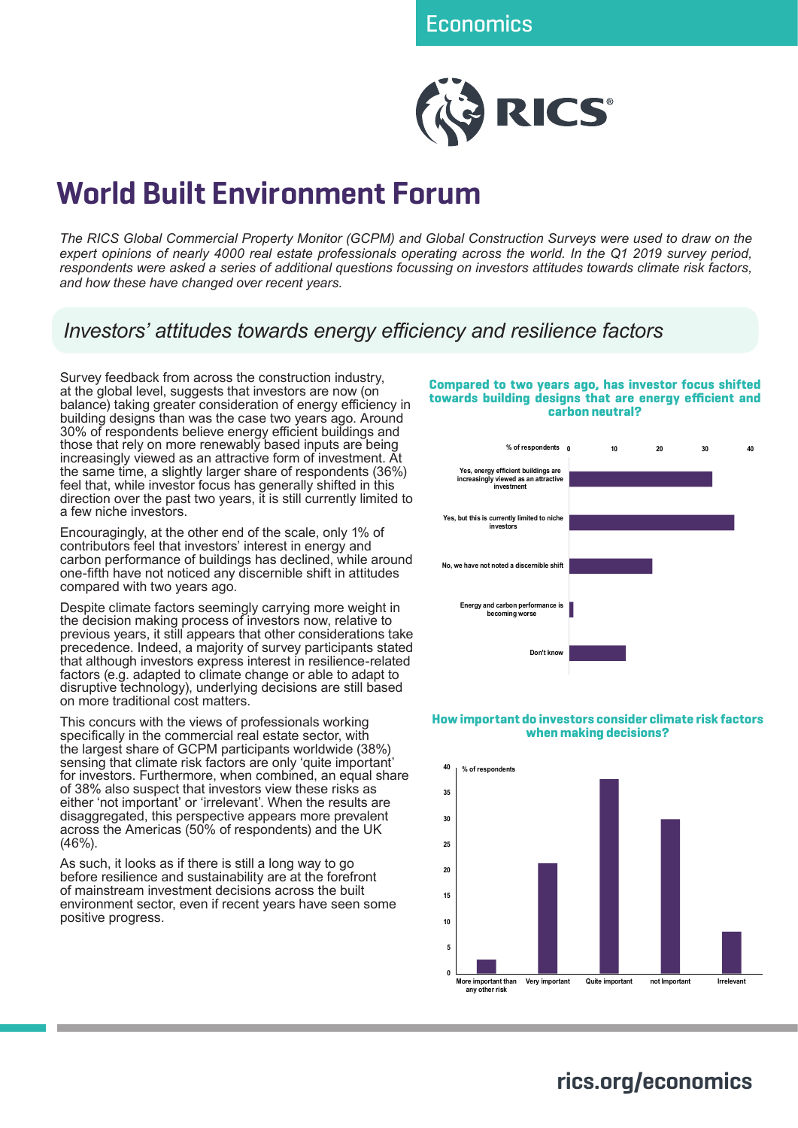

# **World Built Environment Forum**

*The RICS Global Commercial Property Monitor (GCPM) and Global Construction Surveys were used to draw on the expert opinions of nearly 4000 real estate professionals operating across the world. In the Q1 2019 survey period, respondents were asked a series of additional questions focussing on investors attitudes towards climate risk factors, and how these have changed over recent years.* 

*Investors' attitudes towards energy efficiency and resilience factors*

Survey feedback from across the construction industry, at the global level, suggests that investors are now (on balance) taking greater consideration of energy efficiency in building designs than was the case two years ago. Around 30% of respondents believe energy efficient buildings and those that rely on more renewably based inputs are being increasingly viewed as an attractive form of investment. At the same time, a slightly larger share of respondents (36%) feel that, while investor focus has generally shifted in this direction over the past two years, it is still currently limited to a few niche investors.

Encouragingly, at the other end of the scale, only 1% of contributors feel that investors' interest in energy and carbon performance of buildings has declined, while around one-fifth have not noticed any discernible shift in attitudes compared with two years ago.

Despite climate factors seemingly carrying more weight in the decision making process of investors now, relative to previous years, it still appears that other considerations take precedence. Indeed, a majority of survey participants stated that although investors express interest in resilience-related factors (e.g. adapted to climate change or able to adapt to disruptive technology), underlying decisions are still based on more traditional cost matters.

This concurs with the views of professionals working specifically in the commercial real estate sector, with the largest share of GCPM participants worldwide (38%) sensing that climate risk factors are only 'quite important' for investors. Furthermore, when combined, an equal share of 38% also suspect that investors view these risks as either 'not important' or 'irrelevant'. When the results are disaggregated, this perspective appears more prevalent across the Americas (50% of respondents) and the UK (46%).

As such, it looks as if there is still a long way to go before resilience and sustainability are at the forefront of mainstream investment decisions across the built environment sector, even if recent years have seen some positive progress.

#### **Compared to two years ago, has investor focus shifted towards building designs that are energy efficient and carbon neutral?**



## **How important do investors consider climate risk factors when making decisions?**



**rics.org/economics**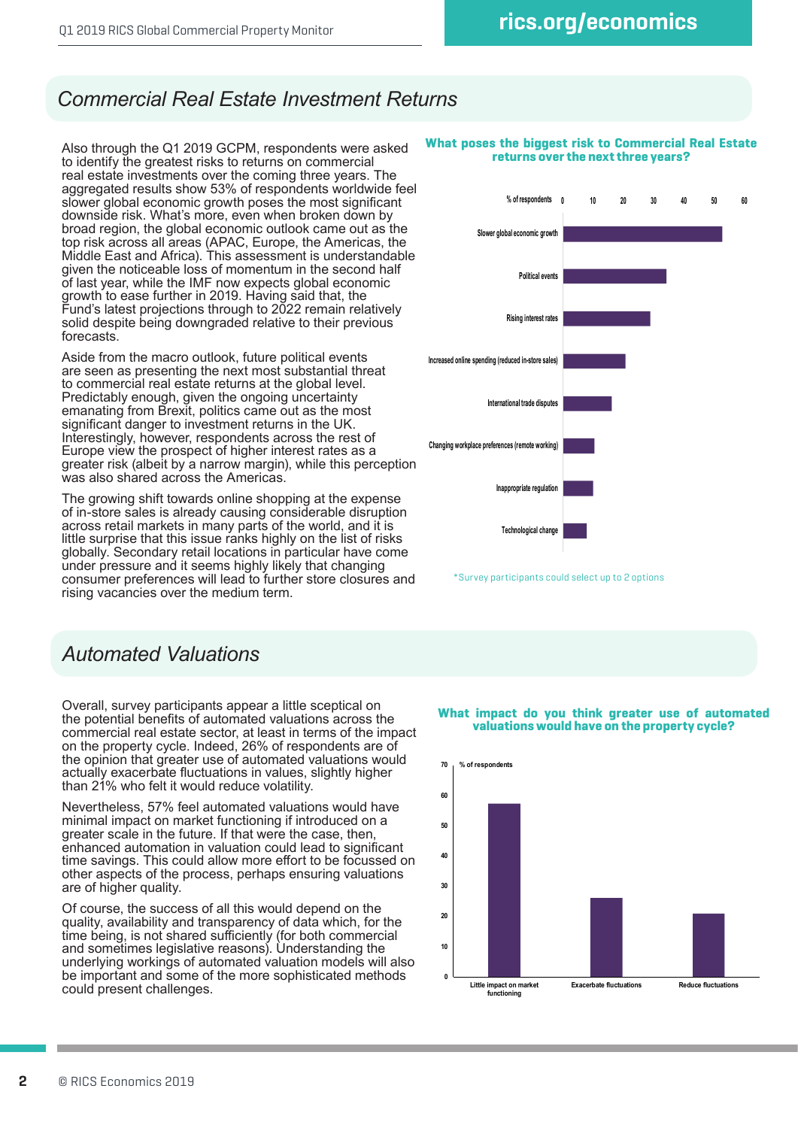# *Commercial Real Estate Investment Returns*

Also through the Q1 2019 GCPM, respondents were asked to identify the greatest risks to returns on commercial real estate investments over the coming three years. The aggregated results show 53% of respondents worldwide feel slower global economic growth poses the most significant downside risk. What's more, even when broken down by broad region, the global economic outlook came out as the top risk across all areas (APAC, Europe, the Americas, the Middle East and Africa). This assessment is understandable given the noticeable loss of momentum in the second half of last year, while the IMF now expects global economic growth to ease further in 2019. Having said that, the Fund's latest projections through to 2022 remain relatively solid despite being downgraded relative to their previous forecasts.

Aside from the macro outlook, future political events are seen as presenting the next most substantial threat to commercial real estate returns at the global level. Predictably enough, given the ongoing uncertainty emanating from Brexit, politics came out as the most significant danger to investment returns in the UK. Interestingly, however, respondents across the rest of Europe view the prospect of higher interest rates as a greater risk (albeit by a narrow margin), while this perception was also shared across the Americas.

The growing shift towards online shopping at the expense of in-store sales is already causing considerable disruption across retail markets in many parts of the world, and it is little surprise that this issue ranks highly on the list of risks globally. Secondary retail locations in particular have come under pressure and it seems highly likely that changing consumer preferences will lead to further store closures and rising vacancies over the medium term.

# *Automated Valuations*

Overall, survey participants appear a little sceptical on the potential benefits of automated valuations across the commercial real estate sector, at least in terms of the impact on the property cycle. Indeed, 26% of respondents are of the opinion that greater use of automated valuations would actually exacerbate fluctuations in values, slightly higher than 21% who felt it would reduce volatility.

Nevertheless, 57% feel automated valuations would have minimal impact on market functioning if introduced on a greater scale in the future. If that were the case, then, enhanced automation in valuation could lead to significant time savings. This could allow more effort to be focussed on other aspects of the process, perhaps ensuring valuations are of higher quality.

Of course, the success of all this would depend on the quality, availability and transparency of data which, for the time being, is not shared sufficiently (for both commercial and sometimes legislative reasons). Understanding the underlying workings of automated valuation models will also be important and some of the more sophisticated methods could present challenges.

### **What poses the biggest risk to Commercial Real Estate returns over the next three years?**



\*Survey participants could select up to 2 options

## **What impact do you think greater use of automated valuations would have on the property cycle?**